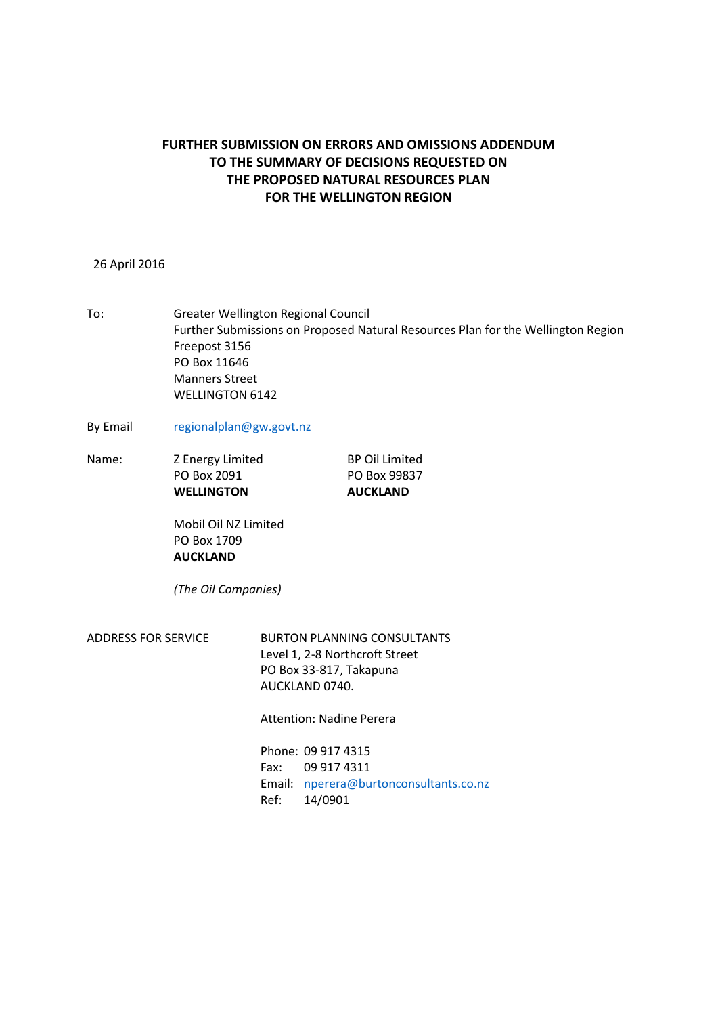## **FURTHER SUBMISSION ON ERRORS AND OMISSIONS ADDENDUM TO THE SUMMARY OF DECISIONS REQUESTED ON THE PROPOSED NATURAL RESOURCES PLAN FOR THE WELLINGTON REGION**

## 26 April 2016

To: Greater Wellington Regional Council Further Submissions on Proposed Natural Resources Plan for the Wellington Region Freepost 3156 PO Box 11646 Manners Street WELLINGTON 6142 By Email [regionalplan@gw.govt.nz](mailto:regionalplan@gw.govt.nz) Name: Z Energy Limited BP Oil Limited PO Box 2091 PO Box 99837 **WELLINGTON AUCKLAND** Mobil Oil NZ Limited PO Box 1709 **AUCKLAND** *(The Oil Companies)* ADDRESS FOR SERVICE BURTON PLANNING CONSULTANTS Level 1, 2-8 Northcroft Street PO Box 33-817, Takapuna AUCKLAND 0740. Attention: Nadine Perera Phone: 09 917 4315 Fax: 09 917 4311 Email: [nperera@burtonconsultants.co.nz](mailto:nperera@burtonconsultants.co.nz) Ref: 14/0901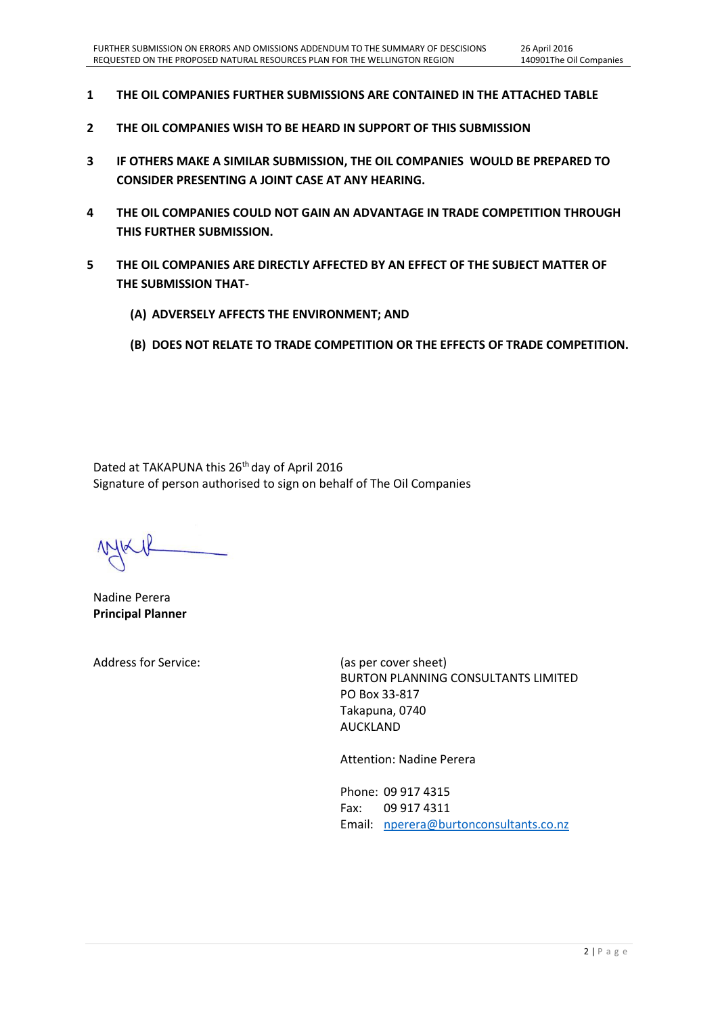- **1 THE OIL COMPANIES FURTHER SUBMISSIONS ARE CONTAINED IN THE ATTACHED TABLE**
- **2 THE OIL COMPANIES WISH TO BE HEARD IN SUPPORT OF THIS SUBMISSION**
- **3 IF OTHERS MAKE A SIMILAR SUBMISSION, THE OIL COMPANIES WOULD BE PREPARED TO CONSIDER PRESENTING A JOINT CASE AT ANY HEARING.**
- **4 THE OIL COMPANIES COULD NOT GAIN AN ADVANTAGE IN TRADE COMPETITION THROUGH THIS FURTHER SUBMISSION.**
- **5 THE OIL COMPANIES ARE DIRECTLY AFFECTED BY AN EFFECT OF THE SUBJECT MATTER OF THE SUBMISSION THAT-**
	- **(A) ADVERSELY AFFECTS THE ENVIRONMENT; AND**
	- **(B) DOES NOT RELATE TO TRADE COMPETITION OR THE EFFECTS OF TRADE COMPETITION.**

Dated at TAKAPUNA this 26<sup>th</sup> day of April 2016 Signature of person authorised to sign on behalf of The Oil Companies

Nadine Perera **Principal Planner**

Address for Service: (as per cover sheet)

BURTON PLANNING CONSULTANTS LIMITED PO Box 33-817 Takapuna, 0740 AUCKLAND

Attention: Nadine Perera

Phone: 09 917 4315 Fax: 09 917 4311 Email: [nperera@burtonconsultants.co.nz](mailto:nperera@burtonconsultants.co.nz)